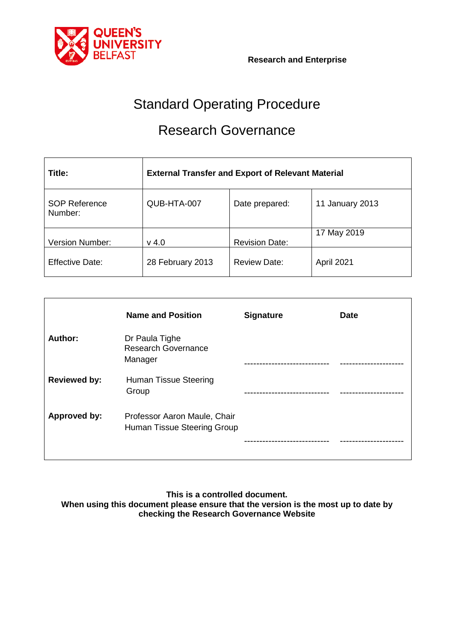

# Standard Operating Procedure

# Research Governance

| Title:                          | <b>External Transfer and Export of Relevant Material</b> |                       |                 |
|---------------------------------|----------------------------------------------------------|-----------------------|-----------------|
| <b>SOP Reference</b><br>Number: | QUB-HTA-007                                              | Date prepared:        | 11 January 2013 |
| <b>Version Number:</b>          | $v$ 4.0                                                  | <b>Revision Date:</b> | 17 May 2019     |
| <b>Effective Date:</b>          | 28 February 2013                                         | <b>Review Date:</b>   | April 2021      |

|                     | <b>Name and Position</b>                                    | <b>Signature</b> | <b>Date</b> |
|---------------------|-------------------------------------------------------------|------------------|-------------|
| Author:             | Dr Paula Tighe<br><b>Research Governance</b><br>Manager     |                  |             |
| <b>Reviewed by:</b> | <b>Human Tissue Steering</b><br>Group                       |                  |             |
| Approved by:        | Professor Aaron Maule, Chair<br>Human Tissue Steering Group |                  |             |

**This is a controlled document.**

**When using this document please ensure that the version is the most up to date by checking the Research Governance Website**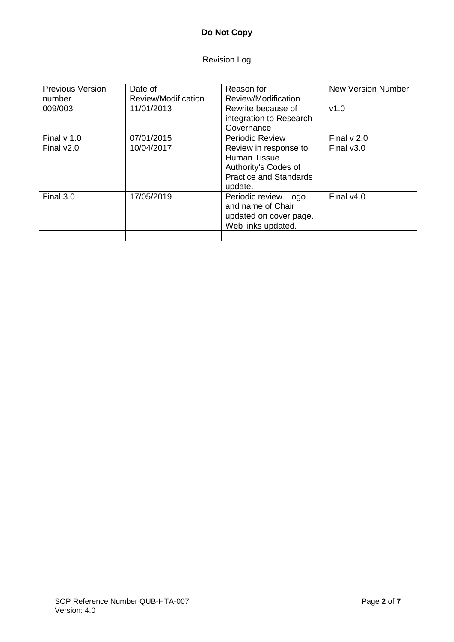# **Do Not Copy**

# Revision Log

| <b>Previous Version</b><br>number | Date of<br>Review/Modification | Reason for<br>Review/Modification                                                                                | <b>New Version Number</b> |
|-----------------------------------|--------------------------------|------------------------------------------------------------------------------------------------------------------|---------------------------|
| 009/003                           | 11/01/2013                     | Rewrite because of<br>integration to Research<br>Governance                                                      | v1.0                      |
| Final $v$ 1.0                     | 07/01/2015                     | <b>Periodic Review</b>                                                                                           | Final $v$ 2.0             |
| Final $v2.0$                      | 10/04/2017                     | Review in response to<br><b>Human Tissue</b><br>Authority's Codes of<br><b>Practice and Standards</b><br>update. | Final $v3.0$              |
| Final 3.0                         | 17/05/2019                     | Periodic review. Logo<br>and name of Chair<br>updated on cover page.<br>Web links updated.                       | Final $v4.0$              |
|                                   |                                |                                                                                                                  |                           |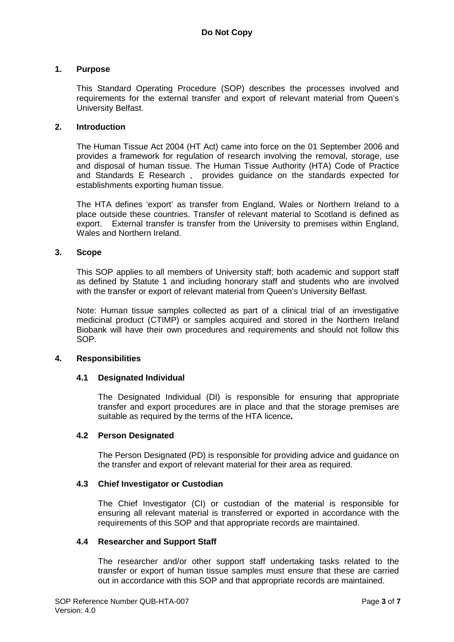### **1. Purpose**

This Standard Operating Procedure (SOP) describes the processes involved and requirements for the external transfer and export of relevant material from Queen's University Belfast.

### **2. Introduction**

The Human Tissue Act 2004 (HT Act) came into force on the 01 September 2006 and provides a framework for regulation of research involving the removal, storage, use and disposal of human tissue. The Human Tissue Authority (HTA) Code of Practice and Standards E Research , provides guidance on the standards expected for establishments exporting human tissue.

The HTA defines 'export' as transfer from England, Wales or Northern Ireland to a place outside these countries. Transfer of relevant material to Scotland is defined as export. External transfer is transfer from the University to premises within England, Wales and Northern Ireland.

### **3. Scope**

This SOP applies to all members of University staff; both academic and support staff as defined by Statute 1 and including honorary staff and students who are involved with the transfer or export of relevant material from Queen's University Belfast.

Note: Human tissue samples collected as part of a clinical trial of an investigative medicinal product (CTIMP) or samples acquired and stored in the Northern Ireland Biobank will have their own procedures and requirements and should not follow this SOP.

#### **4. Responsibilities**

#### **4.1 Designated Individual**

The Designated Individual (DI) is responsible for ensuring that appropriate transfer and export procedures are in place and that the storage premises are suitable as required by the terms of the HTA licence**.**

#### **4.2 Person Designated**

The Person Designated (PD) is responsible for providing advice and guidance on the transfer and export of relevant material for their area as required.

#### **4.3 Chief Investigator or Custodian**

The Chief Investigator (CI) or custodian of the material is responsible for ensuring all relevant material is transferred or exported in accordance with the requirements of this SOP and that appropriate records are maintained.

#### **4.4 Researcher and Support Staff**

The researcher and/or other support staff undertaking tasks related to the transfer or export of human tissue samples must ensure that these are carried out in accordance with this SOP and that appropriate records are maintained.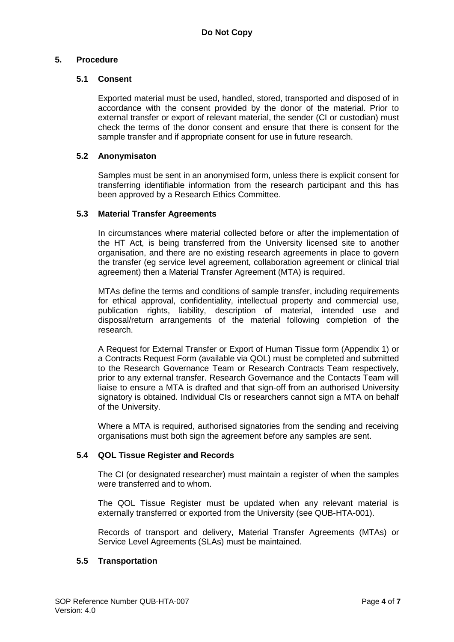# **5. Procedure**

# **5.1 Consent**

Exported material must be used, handled, stored, transported and disposed of in accordance with the consent provided by the donor of the material. Prior to external transfer or export of relevant material, the sender (CI or custodian) must check the terms of the donor consent and ensure that there is consent for the sample transfer and if appropriate consent for use in future research.

# **5.2 Anonymisaton**

Samples must be sent in an anonymised form, unless there is explicit consent for transferring identifiable information from the research participant and this has been approved by a Research Ethics Committee.

# **5.3 Material Transfer Agreements**

In circumstances where material collected before or after the implementation of the HT Act, is being transferred from the University licensed site to another organisation, and there are no existing research agreements in place to govern the transfer (eg service level agreement, collaboration agreement or clinical trial agreement) then a Material Transfer Agreement (MTA) is required.

MTAs define the terms and conditions of sample transfer, including requirements for ethical approval, confidentiality, intellectual property and commercial use, publication rights, liability, description of material, intended use and disposal/return arrangements of the material following completion of the research.

A Request for External Transfer or Export of Human Tissue form (Appendix 1) or a Contracts Request Form (available via QOL) must be completed and submitted to the Research Governance Team or Research Contracts Team respectively, prior to any external transfer. Research Governance and the Contacts Team will liaise to ensure a MTA is drafted and that sign-off from an authorised University signatory is obtained. Individual CIs or researchers cannot sign a MTA on behalf of the University.

Where a MTA is required, authorised signatories from the sending and receiving organisations must both sign the agreement before any samples are sent.

# **5.4 QOL Tissue Register and Records**

The CI (or designated researcher) must maintain a register of when the samples were transferred and to whom.

The QOL Tissue Register must be updated when any relevant material is externally transferred or exported from the University (see QUB-HTA-001).

Records of transport and delivery, Material Transfer Agreements (MTAs) or Service Level Agreements (SLAs) must be maintained.

# **5.5 Transportation**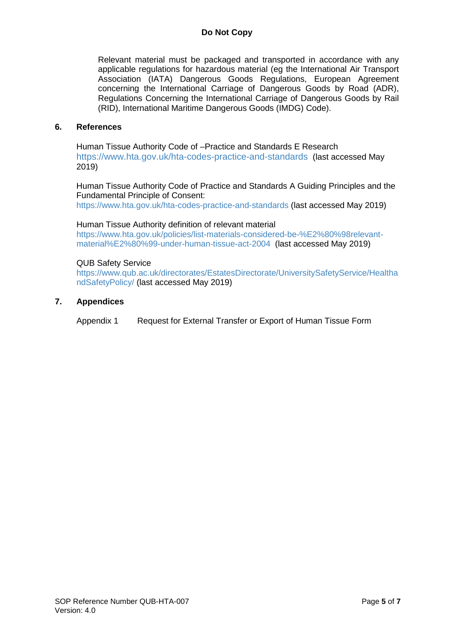# **Do Not Copy**

Relevant material must be packaged and transported in accordance with any applicable regulations for hazardous material (eg the International Air Transport Association (IATA) Dangerous Goods Regulations, European Agreement concerning the International Carriage of Dangerous Goods by Road (ADR), Regulations Concerning the International Carriage of Dangerous Goods by Rail (RID), International Maritime Dangerous Goods (IMDG) Code).

#### **6. References**

Human Tissue Authority Code of –Practice and Standards E Research <https://www.hta.gov.uk/hta-codes-practice-and-standards> (last accessed May 2019)

Human Tissue Authority Code of Practice and Standards A Guiding Principles and the Fundamental Principle of Consent: <https://www.hta.gov.uk/hta-codes-practice-and-standards> (last accessed May 2019)

#### Human Tissue Authority definition of relevant material

[https://www.hta.gov.uk/policies/list-materials-considered-be-%E2%80%98relevant](https://www.hta.gov.uk/policies/list-materials-considered-be-%E2%80%98relevant-material%E2%80%99-under-human-tissue-act-2004)[material%E2%80%99-under-human-tissue-act-2004](https://www.hta.gov.uk/policies/list-materials-considered-be-%E2%80%98relevant-material%E2%80%99-under-human-tissue-act-2004) (last accessed May 2019)

#### QUB Safety Service

[https://www.qub.ac.uk/directorates/EstatesDirectorate/UniversitySafetyService/Healtha](https://www.qub.ac.uk/directorates/EstatesDirectorate/UniversitySafetyService/HealthandSafetyPolicy/) [ndSafetyPolicy/](https://www.qub.ac.uk/directorates/EstatesDirectorate/UniversitySafetyService/HealthandSafetyPolicy/) (last accessed May 2019)

**7. Appendices**

Appendix 1 Request for External Transfer or Export of Human Tissue Form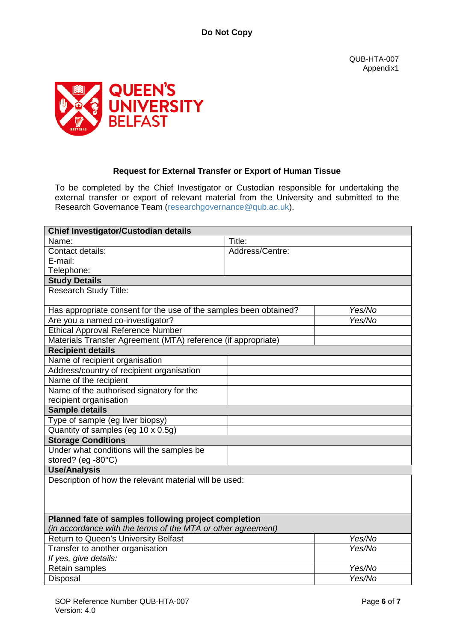QUB-HTA-007 Appendix1



# **Request for External Transfer or Export of Human Tissue**

To be completed by the Chief Investigator or Custodian responsible for undertaking the external transfer or export of relevant material from the University and submitted to the Research Governance Team [\(researchgovernance@qub.ac.uk\)](mailto:researchgovernance@qub.ac.uk).

| Chief Investigator/Custodian details                              |                 |        |  |  |
|-------------------------------------------------------------------|-----------------|--------|--|--|
| Name:                                                             | Title:          |        |  |  |
| Contact details:                                                  | Address/Centre: |        |  |  |
| E-mail:                                                           |                 |        |  |  |
| Telephone:                                                        |                 |        |  |  |
| <b>Study Details</b>                                              |                 |        |  |  |
| <b>Research Study Title:</b>                                      |                 |        |  |  |
| Has appropriate consent for the use of the samples been obtained? |                 | Yes/No |  |  |
| Are you a named co-investigator?                                  |                 | Yes/No |  |  |
| <b>Ethical Approval Reference Number</b>                          |                 |        |  |  |
| Materials Transfer Agreement (MTA) reference (if appropriate)     |                 |        |  |  |
| <b>Recipient details</b>                                          |                 |        |  |  |
| Name of recipient organisation                                    |                 |        |  |  |
| Address/country of recipient organisation                         |                 |        |  |  |
| Name of the recipient                                             |                 |        |  |  |
| Name of the authorised signatory for the                          |                 |        |  |  |
| recipient organisation                                            |                 |        |  |  |
| <b>Sample details</b>                                             |                 |        |  |  |
| Type of sample (eg liver biopsy)                                  |                 |        |  |  |
| Quantity of samples (eg 10 x 0.5g)                                |                 |        |  |  |
| <b>Storage Conditions</b>                                         |                 |        |  |  |
| Under what conditions will the samples be                         |                 |        |  |  |
| stored? (eg -80°C)                                                |                 |        |  |  |
| <b>Use/Analysis</b>                                               |                 |        |  |  |
| Description of how the relevant material will be used:            |                 |        |  |  |
|                                                                   |                 |        |  |  |
|                                                                   |                 |        |  |  |
|                                                                   |                 |        |  |  |
| Planned fate of samples following project completion              |                 |        |  |  |
| (in accordance with the terms of the MTA or other agreement)      |                 |        |  |  |
| Return to Queen's University Belfast                              |                 | Yes/No |  |  |
| Transfer to another organisation                                  |                 | Yes/No |  |  |
| If yes, give details:                                             |                 |        |  |  |
| Retain samples                                                    |                 | Yes/No |  |  |
| Disposal                                                          |                 | Yes/No |  |  |